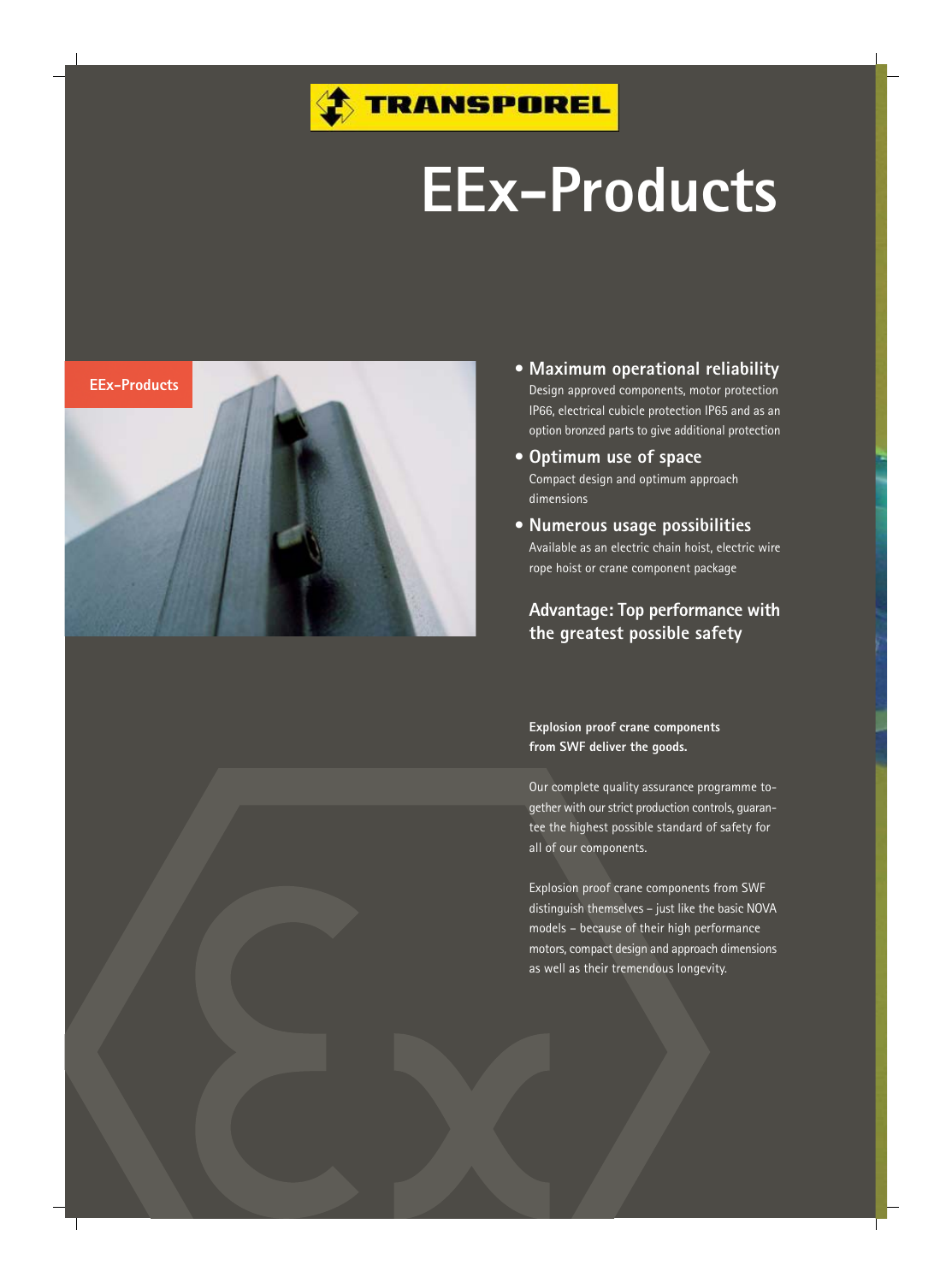

## **EEx-Products**



- **• Maximum operational reliability** Design approved components, motor protection IP66, electrical cubicle protection IP65 and as an option bronzed parts to give additional protection
- **• Optimum use of space** Compact design and optimum approach dimensions
- **• Numerous usage possibilities** Available as an electric chain hoist, electric wire rope hoist or crane component package

**Advantage: Top performance with the greatest possible safety**

**Explosion proof crane components from SWF deliver the goods.**

Our complete quality assurance programme together with our strict production controls, guarantee the highest possible standard of safety for all of our components.

Explosion proof crane components from SWF distinguish themselves – just like the basic NOVA models – because of their high performance motors, compact design and approach dimensions as well as their tremendous longevity.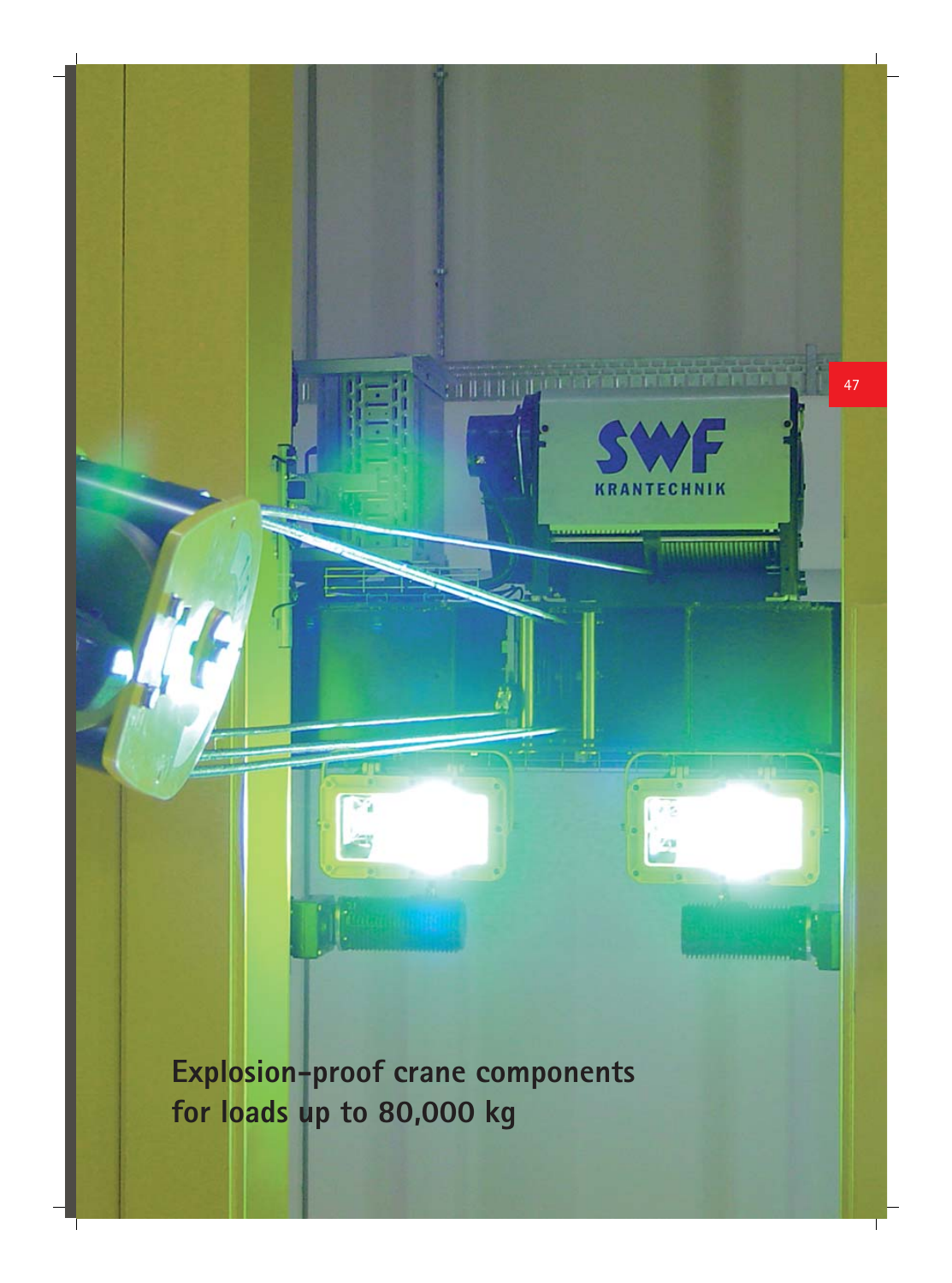

**Explosion-proof crane components for loads up to 80,000 kg**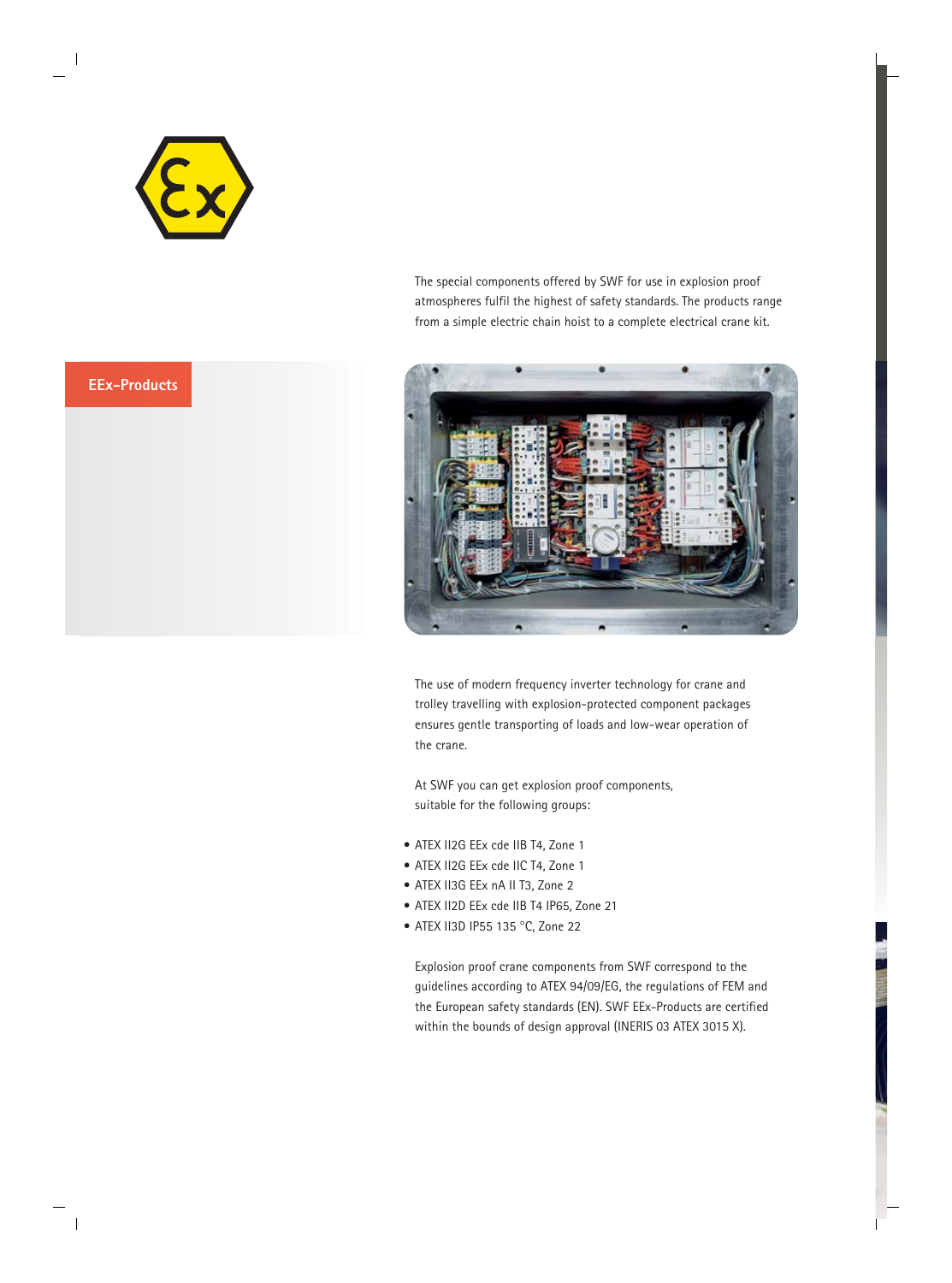



The special components offered by SWF for use in explosion proof atmospheres fulfil the highest of safety standards. The products range from a simple electric chain hoist to a complete electrical crane kit.



The use of modern frequency inverter technology for crane and trolley travelling with explosion-protected component packages ensures gentle transporting of loads and low-wear operation of the crane.

At SWF you can get explosion proof components, suitable for the following groups:

- ATEX II2G EEx cde IIB T4, Zone 1
- ATEX II2G EEx cde IIC T4, Zone 1
- ATEX II3G EEx nA II T3, Zone 2
- ATEX II2D EEx cde IIB T4 IP65, Zone 21
- ATEX II3D IP55 135 °C, Zone 22

Explosion proof crane components from SWF correspond to the guidelines according to ATEX 94/09/EG, the regulations of FEM and the European safety standards (EN). SWF EEx-Products are certified within the bounds of design approval (INERIS 03 ATEX 3015 X).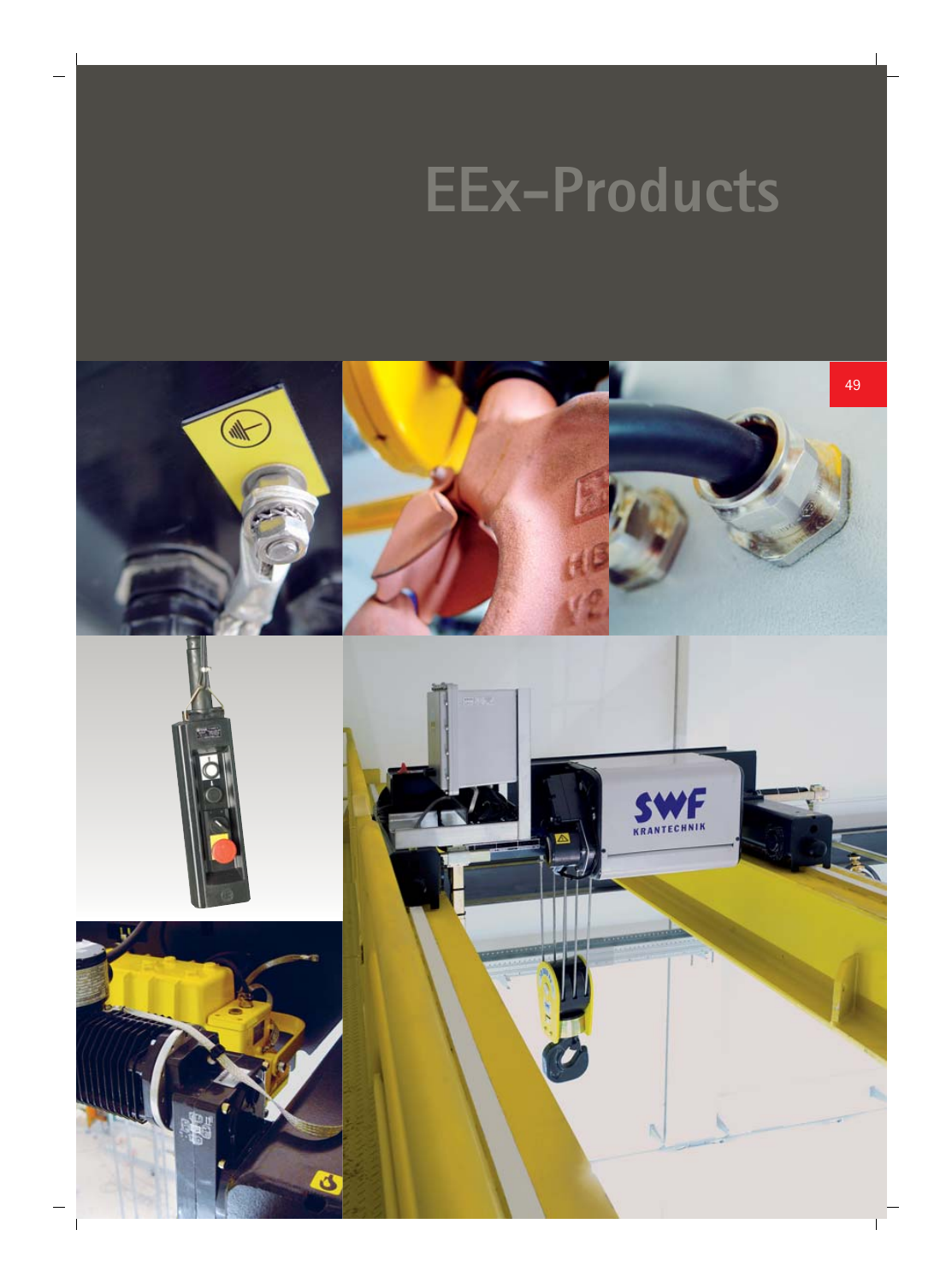## **EEx-Products**